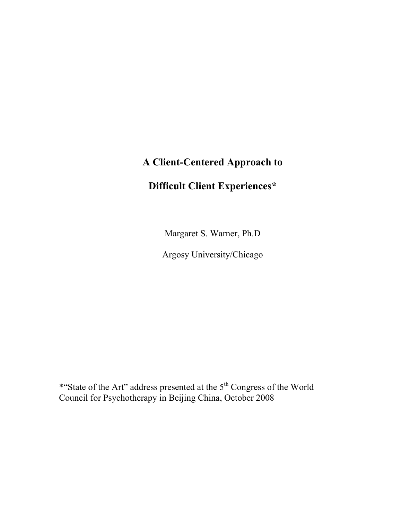# A Client-Centered Approach to

# Difficult Client Experiences\*

Margaret S. Warner, Ph.D

Argosy University/Chicago

\*"State of the Art" address presented at the 5<sup>th</sup> Congress of the World Council for Psychotherapy in Beijing China, October 2008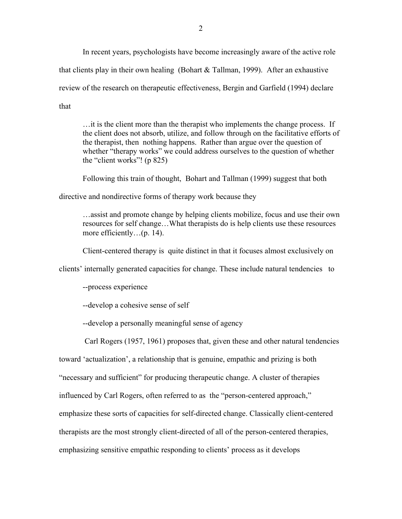In recent years, psychologists have become increasingly aware of the active role that clients play in their own healing (Bohart  $\&$  Tallman, 1999). After an exhaustive review of the research on therapeutic effectiveness, Bergin and Garfield (1994) declare that

…it is the client more than the therapist who implements the change process. If the client does not absorb, utilize, and follow through on the facilitative efforts of the therapist, then nothing happens. Rather than argue over the question of whether "therapy works" we could address ourselves to the question of whether the "client works"! (p 825)

Following this train of thought, Bohart and Tallman (1999) suggest that both

directive and nondirective forms of therapy work because they

…assist and promote change by helping clients mobilize, focus and use their own resources for self change…What therapists do is help clients use these resources more efficiently...(p. 14).

Client-centered therapy is quite distinct in that it focuses almost exclusively on

clients' internally generated capacities for change. These include natural tendencies to

--process experience

--develop a cohesive sense of self

--develop a personally meaningful sense of agency

Carl Rogers (1957, 1961) proposes that, given these and other natural tendencies

toward 'actualization', a relationship that is genuine, empathic and prizing is both

"necessary and sufficient" for producing therapeutic change. A cluster of therapies

influenced by Carl Rogers, often referred to as the "person-centered approach,"

emphasize these sorts of capacities for self-directed change. Classically client-centered

therapists are the most strongly client-directed of all of the person-centered therapies,

emphasizing sensitive empathic responding to clients' process as it develops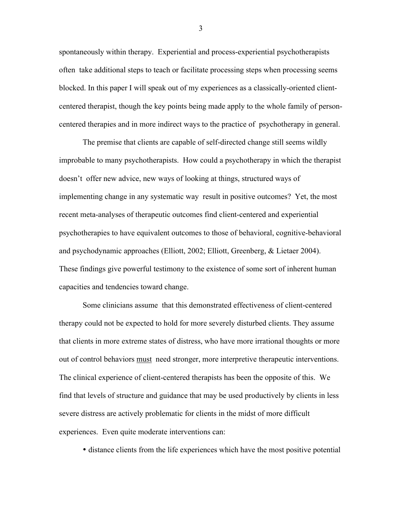spontaneously within therapy. Experiential and process-experiential psychotherapists often take additional steps to teach or facilitate processing steps when processing seems blocked. In this paper I will speak out of my experiences as a classically-oriented clientcentered therapist, though the key points being made apply to the whole family of personcentered therapies and in more indirect ways to the practice of psychotherapy in general.

The premise that clients are capable of self-directed change still seems wildly improbable to many psychotherapists. How could a psychotherapy in which the therapist doesn't offer new advice, new ways of looking at things, structured ways of implementing change in any systematic way result in positive outcomes? Yet, the most recent meta-analyses of therapeutic outcomes find client-centered and experiential psychotherapies to have equivalent outcomes to those of behavioral, cognitive-behavioral and psychodynamic approaches (Elliott, 2002; Elliott, Greenberg, & Lietaer 2004). These findings give powerful testimony to the existence of some sort of inherent human capacities and tendencies toward change.

Some clinicians assume that this demonstrated effectiveness of client-centered therapy could not be expected to hold for more severely disturbed clients. They assume that clients in more extreme states of distress, who have more irrational thoughts or more out of control behaviors must need stronger, more interpretive therapeutic interventions. The clinical experience of client-centered therapists has been the opposite of this. We find that levels of structure and guidance that may be used productively by clients in less severe distress are actively problematic for clients in the midst of more difficult experiences. Even quite moderate interventions can:

• distance clients from the life experiences which have the most positive potential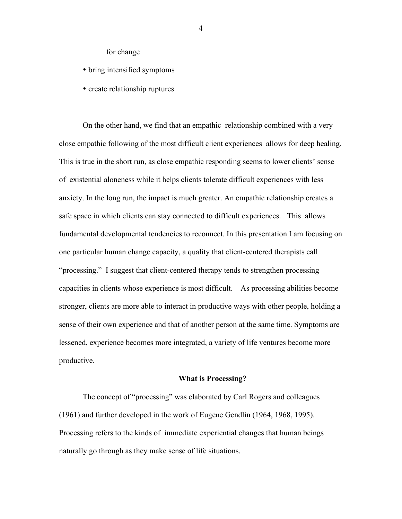for change

- bring intensified symptoms
- create relationship ruptures

On the other hand, we find that an empathic relationship combined with a very close empathic following of the most difficult client experiences allows for deep healing. This is true in the short run, as close empathic responding seems to lower clients' sense of existential aloneness while it helps clients tolerate difficult experiences with less anxiety. In the long run, the impact is much greater. An empathic relationship creates a safe space in which clients can stay connected to difficult experiences. This allows fundamental developmental tendencies to reconnect. In this presentation I am focusing on one particular human change capacity, a quality that client-centered therapists call "processing." I suggest that client-centered therapy tends to strengthen processing capacities in clients whose experience is most difficult. As processing abilities become stronger, clients are more able to interact in productive ways with other people, holding a sense of their own experience and that of another person at the same time. Symptoms are lessened, experience becomes more integrated, a variety of life ventures become more productive.

## What is Processing?

The concept of "processing" was elaborated by Carl Rogers and colleagues (1961) and further developed in the work of Eugene Gendlin (1964, 1968, 1995). Processing refers to the kinds of immediate experiential changes that human beings naturally go through as they make sense of life situations.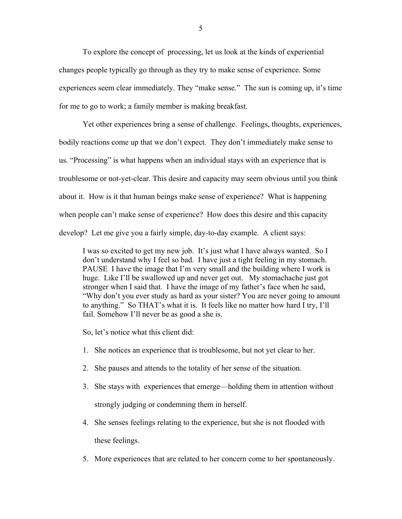To explore the concept of processing, let us look at the kinds of experiential changes people typically go through as they try to make sense of experience. Some experiences seem clear immediately. They "make sense." The sun is coming up, it's time for me to go to work; a family member is making breakfast.

Yet other experiences bring a sense of challenge. Feelings, thoughts, experiences, bodily reactions come up that we don't expect. They don't immediately make sense to us. "Processing" is what happens when an individual stays with an experience that is troublesome or not-yet-clear. This desire and capacity may seem obvious until you think about it. How is it that human beings make sense of experience? What is happening when people can't make sense of experience? How does this desire and this capacity develop? Let me give you a fairly simple, day-to-day example. A client says:

I was so excited to get my new job. It's just what I have always wanted. So I don't understand why I feel so bad. I have just a tight feeling in my stomach. PAUSE I have the image that I'm very small and the building where I work is huge. Like I'll be swallowed up and never get out. My stomachache just got stronger when I said that. I have the image of my father's face when he said, "Why don't you ever study as hard as your sister? You are never going to amount to anything." So THAT's what it is. It feels like no matter how hard I try, I'll fail. Somehow I'll never be as good a she is.

So, let's notice what this client did:

- 1. She notices an experience that is troublesome, but not yet clear to her.
- 2. She pauses and attends to the totality of her sense of the situation.
- 3. She stays with experiences that emerge—holding them in attention without strongly judging or condemning them in herself.
- 4. She senses feelings relating to the experience, but she is not flooded with these feelings.
- 5. More experiences that are related to her concern come to her spontaneously.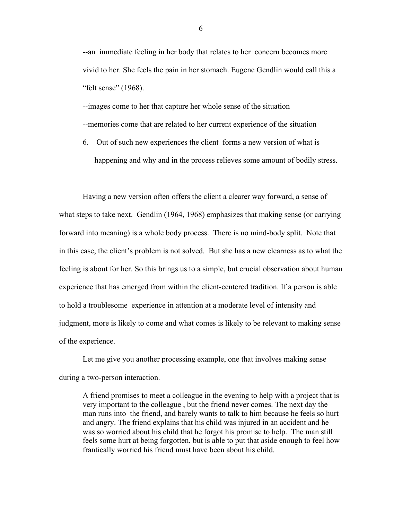--an immediate feeling in her body that relates to her concern becomes more vivid to her. She feels the pain in her stomach. Eugene Gendlin would call this a "felt sense" (1968).

--images come to her that capture her whole sense of the situation --memories come that are related to her current experience of the situation

6. Out of such new experiences the client forms a new version of what is happening and why and in the process relieves some amount of bodily stress.

Having a new version often offers the client a clearer way forward, a sense of what steps to take next. Gendlin (1964, 1968) emphasizes that making sense (or carrying forward into meaning) is a whole body process. There is no mind-body split. Note that in this case, the client's problem is not solved. But she has a new clearness as to what the feeling is about for her. So this brings us to a simple, but crucial observation about human experience that has emerged from within the client-centered tradition. If a person is able to hold a troublesome experience in attention at a moderate level of intensity and judgment, more is likely to come and what comes is likely to be relevant to making sense of the experience.

Let me give you another processing example, one that involves making sense during a two-person interaction.

A friend promises to meet a colleague in the evening to help with a project that is very important to the colleague , but the friend never comes. The next day the man runs into the friend, and barely wants to talk to him because he feels so hurt and angry. The friend explains that his child was injured in an accident and he was so worried about his child that he forgot his promise to help. The man still feels some hurt at being forgotten, but is able to put that aside enough to feel how frantically worried his friend must have been about his child.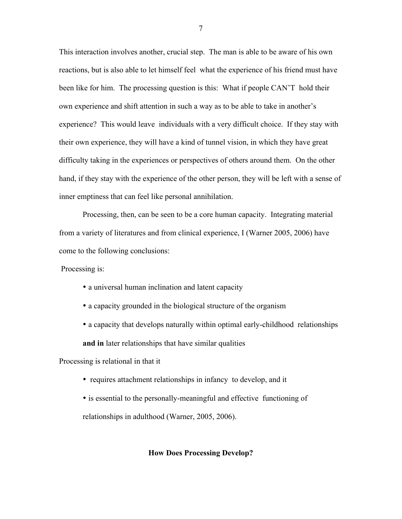This interaction involves another, crucial step. The man is able to be aware of his own reactions, but is also able to let himself feel what the experience of his friend must have been like for him. The processing question is this: What if people CAN'T hold their own experience and shift attention in such a way as to be able to take in another's experience? This would leave individuals with a very difficult choice. If they stay with their own experience, they will have a kind of tunnel vision, in which they have great difficulty taking in the experiences or perspectives of others around them. On the other hand, if they stay with the experience of the other person, they will be left with a sense of inner emptiness that can feel like personal annihilation.

Processing, then, can be seen to be a core human capacity. Integrating material from a variety of literatures and from clinical experience, I (Warner 2005, 2006) have come to the following conclusions:

Processing is:

- a universal human inclination and latent capacity
- a capacity grounded in the biological structure of the organism
- a capacity that develops naturally within optimal early-childhood relationships and in later relationships that have similar qualities

Processing is relational in that it

- requires attachment relationships in infancy to develop, and it
- is essential to the personally-meaningful and effective functioning of relationships in adulthood (Warner, 2005, 2006).

## How Does Processing Develop?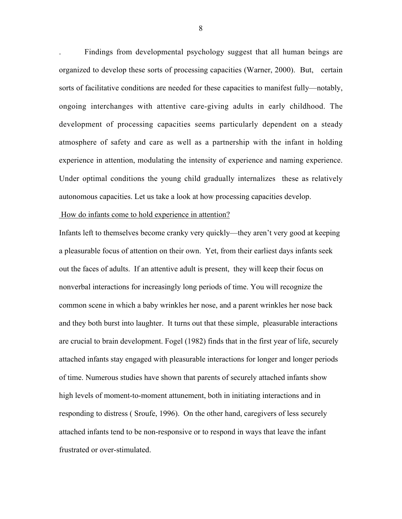. Findings from developmental psychology suggest that all human beings are organized to develop these sorts of processing capacities (Warner, 2000). But, certain sorts of facilitative conditions are needed for these capacities to manifest fully—notably, ongoing interchanges with attentive care-giving adults in early childhood. The development of processing capacities seems particularly dependent on a steady atmosphere of safety and care as well as a partnership with the infant in holding experience in attention, modulating the intensity of experience and naming experience. Under optimal conditions the young child gradually internalizes these as relatively autonomous capacities. Let us take a look at how processing capacities develop.

#### How do infants come to hold experience in attention?

Infants left to themselves become cranky very quickly—they aren't very good at keeping a pleasurable focus of attention on their own. Yet, from their earliest days infants seek out the faces of adults. If an attentive adult is present, they will keep their focus on nonverbal interactions for increasingly long periods of time. You will recognize the common scene in which a baby wrinkles her nose, and a parent wrinkles her nose back and they both burst into laughter. It turns out that these simple, pleasurable interactions are crucial to brain development. Fogel (1982) finds that in the first year of life, securely attached infants stay engaged with pleasurable interactions for longer and longer periods of time. Numerous studies have shown that parents of securely attached infants show high levels of moment-to-moment attunement, both in initiating interactions and in responding to distress ( Sroufe, 1996). On the other hand, caregivers of less securely attached infants tend to be non-responsive or to respond in ways that leave the infant frustrated or over-stimulated.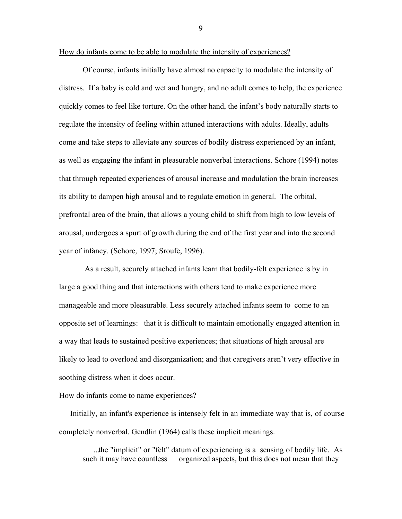How do infants come to be able to modulate the intensity of experiences?

Of course, infants initially have almost no capacity to modulate the intensity of distress. If a baby is cold and wet and hungry, and no adult comes to help, the experience quickly comes to feel like torture. On the other hand, the infant's body naturally starts to regulate the intensity of feeling within attuned interactions with adults. Ideally, adults come and take steps to alleviate any sources of bodily distress experienced by an infant, as well as engaging the infant in pleasurable nonverbal interactions. Schore (1994) notes that through repeated experiences of arousal increase and modulation the brain increases its ability to dampen high arousal and to regulate emotion in general. The orbital, prefrontal area of the brain, that allows a young child to shift from high to low levels of arousal, undergoes a spurt of growth during the end of the first year and into the second year of infancy. (Schore, 1997; Sroufe, 1996).

 As a result, securely attached infants learn that bodily-felt experience is by in large a good thing and that interactions with others tend to make experience more manageable and more pleasurable. Less securely attached infants seem to come to an opposite set of learnings: that it is difficult to maintain emotionally engaged attention in a way that leads to sustained positive experiences; that situations of high arousal are likely to lead to overload and disorganization; and that caregivers aren't very effective in soothing distress when it does occur.

## How do infants come to name experiences?

 Initially, an infant's experience is intensely felt in an immediate way that is, of course completely nonverbal. Gendlin (1964) calls these implicit meanings.

 ...the "implicit" or "felt" datum of experiencing is a sensing of bodily life. As such it may have countless organized aspects, but this does not mean that they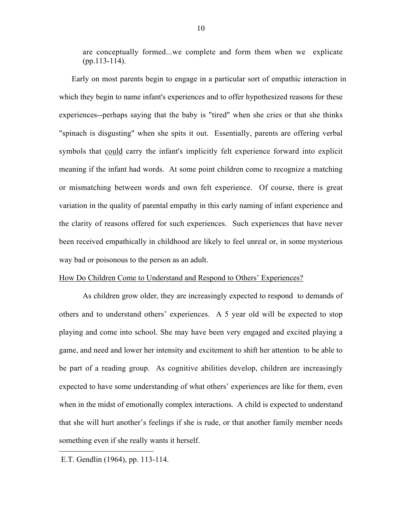are conceptually formed...we complete and form them when we explicate (pp.113-114).

 Early on most parents begin to engage in a particular sort of empathic interaction in which they begin to name infant's experiences and to offer hypothesized reasons for these experiences--perhaps saying that the baby is "tired" when she cries or that she thinks "spinach is disgusting" when she spits it out. Essentially, parents are offering verbal symbols that could carry the infant's implicitly felt experience forward into explicit meaning if the infant had words. At some point children come to recognize a matching or mismatching between words and own felt experience. Of course, there is great variation in the quality of parental empathy in this early naming of infant experience and the clarity of reasons offered for such experiences. Such experiences that have never been received empathically in childhood are likely to feel unreal or, in some mysterious way bad or poisonous to the person as an adult.

# How Do Children Come to Understand and Respond to Others' Experiences?

As children grow older, they are increasingly expected to respond to demands of others and to understand others' experiences. A 5 year old will be expected to stop playing and come into school. She may have been very engaged and excited playing a game, and need and lower her intensity and excitement to shift her attention to be able to be part of a reading group. As cognitive abilities develop, children are increasingly expected to have some understanding of what others' experiences are like for them, even when in the midst of emotionally complex interactions. A child is expected to understand that she will hurt another's feelings if she is rude, or that another family member needs something even if she really wants it herself.

 $\overline{a}$ 

E.T. Gendlin (1964), pp. 113-114.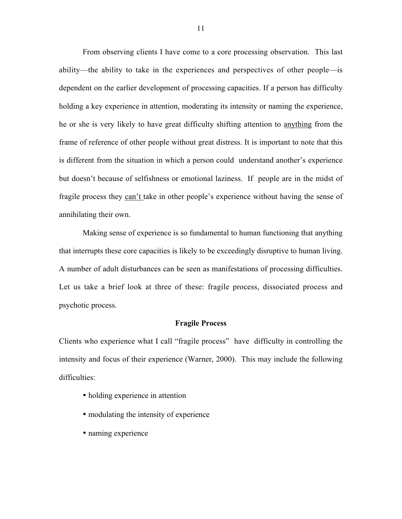From observing clients I have come to a core processing observation. This last ability—the ability to take in the experiences and perspectives of other people—is dependent on the earlier development of processing capacities. If a person has difficulty holding a key experience in attention, moderating its intensity or naming the experience, he or she is very likely to have great difficulty shifting attention to anything from the frame of reference of other people without great distress. It is important to note that this is different from the situation in which a person could understand another's experience but doesn't because of selfishness or emotional laziness. If people are in the midst of fragile process they can't take in other people's experience without having the sense of annihilating their own.

Making sense of experience is so fundamental to human functioning that anything that interrupts these core capacities is likely to be exceedingly disruptive to human living. A number of adult disturbances can be seen as manifestations of processing difficulties. Let us take a brief look at three of these: fragile process, dissociated process and psychotic process.

#### Fragile Process

Clients who experience what I call "fragile process" have difficulty in controlling the intensity and focus of their experience (Warner, 2000). This may include the following difficulties:

- holding experience in attention
- modulating the intensity of experience
- naming experience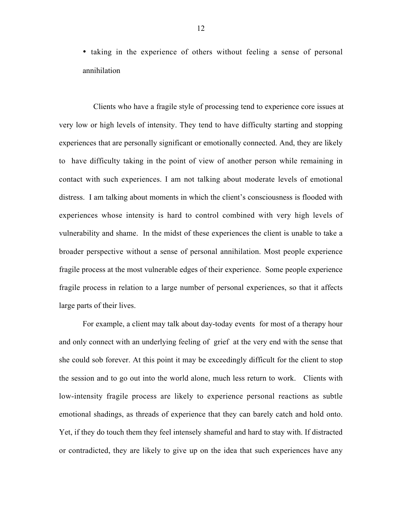• taking in the experience of others without feeling a sense of personal annihilation

 Clients who have a fragile style of processing tend to experience core issues at very low or high levels of intensity. They tend to have difficulty starting and stopping experiences that are personally significant or emotionally connected. And, they are likely to have difficulty taking in the point of view of another person while remaining in contact with such experiences. I am not talking about moderate levels of emotional distress. I am talking about moments in which the client's consciousness is flooded with experiences whose intensity is hard to control combined with very high levels of vulnerability and shame. In the midst of these experiences the client is unable to take a broader perspective without a sense of personal annihilation. Most people experience fragile process at the most vulnerable edges of their experience. Some people experience fragile process in relation to a large number of personal experiences, so that it affects large parts of their lives.

For example, a client may talk about day-today events for most of a therapy hour and only connect with an underlying feeling of grief at the very end with the sense that she could sob forever. At this point it may be exceedingly difficult for the client to stop the session and to go out into the world alone, much less return to work. Clients with low-intensity fragile process are likely to experience personal reactions as subtle emotional shadings, as threads of experience that they can barely catch and hold onto. Yet, if they do touch them they feel intensely shameful and hard to stay with. If distracted or contradicted, they are likely to give up on the idea that such experiences have any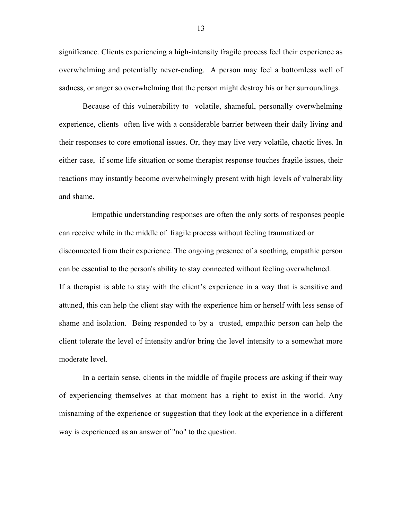significance. Clients experiencing a high-intensity fragile process feel their experience as overwhelming and potentially never-ending. A person may feel a bottomless well of sadness, or anger so overwhelming that the person might destroy his or her surroundings.

Because of this vulnerability to volatile, shameful, personally overwhelming experience, clients often live with a considerable barrier between their daily living and their responses to core emotional issues. Or, they may live very volatile, chaotic lives. In either case, if some life situation or some therapist response touches fragile issues, their reactions may instantly become overwhelmingly present with high levels of vulnerability and shame.

 Empathic understanding responses are often the only sorts of responses people can receive while in the middle of fragile process without feeling traumatized or disconnected from their experience. The ongoing presence of a soothing, empathic person can be essential to the person's ability to stay connected without feeling overwhelmed. If a therapist is able to stay with the client's experience in a way that is sensitive and attuned, this can help the client stay with the experience him or herself with less sense of shame and isolation. Being responded to by a trusted, empathic person can help the client tolerate the level of intensity and/or bring the level intensity to a somewhat more moderate level.

In a certain sense, clients in the middle of fragile process are asking if their way of experiencing themselves at that moment has a right to exist in the world. Any misnaming of the experience or suggestion that they look at the experience in a different way is experienced as an answer of "no" to the question.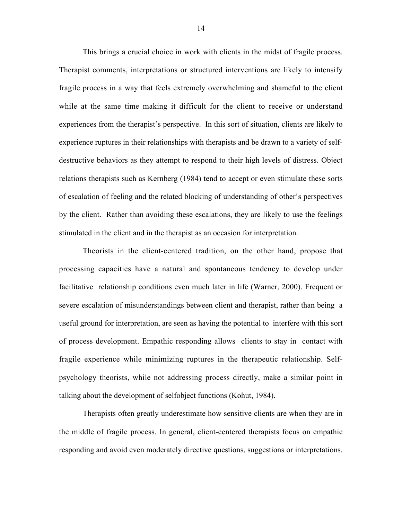This brings a crucial choice in work with clients in the midst of fragile process. Therapist comments, interpretations or structured interventions are likely to intensify fragile process in a way that feels extremely overwhelming and shameful to the client while at the same time making it difficult for the client to receive or understand experiences from the therapist's perspective. In this sort of situation, clients are likely to experience ruptures in their relationships with therapists and be drawn to a variety of selfdestructive behaviors as they attempt to respond to their high levels of distress. Object relations therapists such as Kernberg (1984) tend to accept or even stimulate these sorts of escalation of feeling and the related blocking of understanding of other's perspectives by the client. Rather than avoiding these escalations, they are likely to use the feelings stimulated in the client and in the therapist as an occasion for interpretation.

Theorists in the client-centered tradition, on the other hand, propose that processing capacities have a natural and spontaneous tendency to develop under facilitative relationship conditions even much later in life (Warner, 2000). Frequent or severe escalation of misunderstandings between client and therapist, rather than being a useful ground for interpretation, are seen as having the potential to interfere with this sort of process development. Empathic responding allows clients to stay in contact with fragile experience while minimizing ruptures in the therapeutic relationship. Selfpsychology theorists, while not addressing process directly, make a similar point in talking about the development of selfobject functions (Kohut, 1984).

Therapists often greatly underestimate how sensitive clients are when they are in the middle of fragile process. In general, client-centered therapists focus on empathic responding and avoid even moderately directive questions, suggestions or interpretations.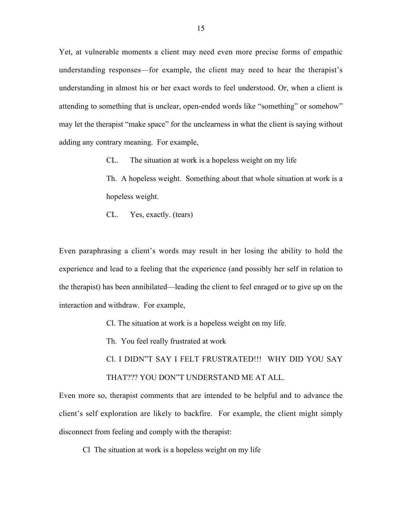Yet, at vulnerable moments a client may need even more precise forms of empathic understanding responses—for example, the client may need to hear the therapist's understanding in almost his or her exact words to feel understood. Or, when a client is attending to something that is unclear, open-ended words like "something" or somehow" may let the therapist "make space" for the unclearness in what the client is saying without adding any contrary meaning. For example,

CL. The situation at work is a hopeless weight on my life

Th. A hopeless weight. Something about that whole situation at work is a hopeless weight.

CL. Yes, exactly. (tears)

Even paraphrasing a client's words may result in her losing the ability to hold the experience and lead to a feeling that the experience (and possibly her self in relation to the therapist) has been annihilated—leading the client to feel enraged or to give up on the interaction and withdraw. For example,

Cl. The situation at work is a hopeless weight on my life.

Th. You feel really frustrated at work

Cl. I DIDN"T SAY I FELT FRUSTRATED!!! WHY DID YOU SAY THAT??? YOU DON"T UNDERSTAND ME AT ALL.

Even more so, therapist comments that are intended to be helpful and to advance the client's self exploration are likely to backfire. For example, the client might simply disconnect from feeling and comply with the therapist:

Cl The situation at work is a hopeless weight on my life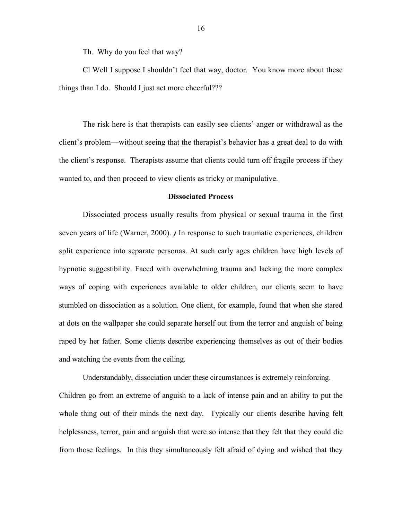Th. Why do you feel that way?

Cl Well I suppose I shouldn't feel that way, doctor. You know more about these things than I do. Should I just act more cheerful???

The risk here is that therapists can easily see clients' anger or withdrawal as the client's problem—without seeing that the therapist's behavior has a great deal to do with the client's response. Therapists assume that clients could turn off fragile process if they wanted to, and then proceed to view clients as tricky or manipulative.

#### Dissociated Process

Dissociated process usually results from physical or sexual trauma in the first seven years of life (Warner, 2000). *)* In response to such traumatic experiences, children split experience into separate personas. At such early ages children have high levels of hypnotic suggestibility. Faced with overwhelming trauma and lacking the more complex ways of coping with experiences available to older children, our clients seem to have stumbled on dissociation as a solution. One client, for example, found that when she stared at dots on the wallpaper she could separate herself out from the terror and anguish of being raped by her father. Some clients describe experiencing themselves as out of their bodies and watching the events from the ceiling.

Understandably, dissociation under these circumstances is extremely reinforcing. Children go from an extreme of anguish to a lack of intense pain and an ability to put the whole thing out of their minds the next day. Typically our clients describe having felt helplessness, terror, pain and anguish that were so intense that they felt that they could die from those feelings. In this they simultaneously felt afraid of dying and wished that they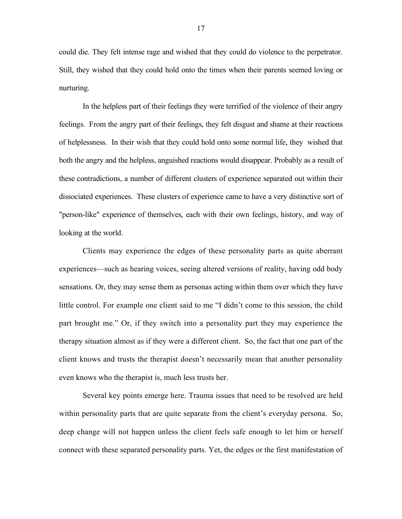could die. They felt intense rage and wished that they could do violence to the perpetrator. Still, they wished that they could hold onto the times when their parents seemed loving or nurturing.

In the helpless part of their feelings they were terrified of the violence of their angry feelings. From the angry part of their feelings, they felt disgust and shame at their reactions of helplessness. In their wish that they could hold onto some normal life, they wished that both the angry and the helpless, anguished reactions would disappear. Probably as a result of these contradictions, a number of different clusters of experience separated out within their dissociated experiences. These clusters of experience came to have a very distinctive sort of "person-like" experience of themselves, each with their own feelings, history, and way of looking at the world.

Clients may experience the edges of these personality parts as quite aberrant experiences—such as hearing voices, seeing altered versions of reality, having odd body sensations. Or, they may sense them as personas acting within them over which they have little control. For example one client said to me "I didn't come to this session, the child part brought me." Or, if they switch into a personality part they may experience the therapy situation almost as if they were a different client. So, the fact that one part of the client knows and trusts the therapist doesn't necessarily mean that another personality even knows who the therapist is, much less trusts her.

Several key points emerge here. Trauma issues that need to be resolved are held within personality parts that are quite separate from the client's everyday persona. So, deep change will not happen unless the client feels safe enough to let him or herself connect with these separated personality parts. Yet, the edges or the first manifestation of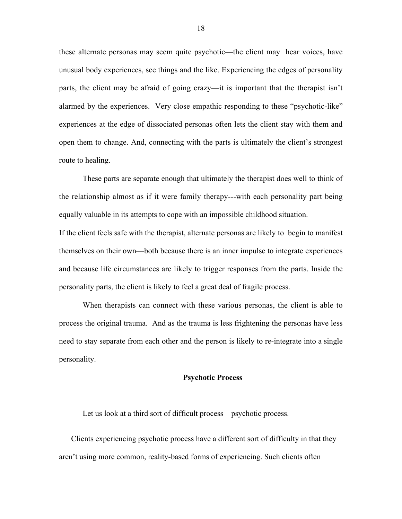these alternate personas may seem quite psychotic—the client may hear voices, have unusual body experiences, see things and the like. Experiencing the edges of personality parts, the client may be afraid of going crazy—it is important that the therapist isn't alarmed by the experiences. Very close empathic responding to these "psychotic-like" experiences at the edge of dissociated personas often lets the client stay with them and open them to change. And, connecting with the parts is ultimately the client's strongest route to healing.

These parts are separate enough that ultimately the therapist does well to think of the relationship almost as if it were family therapy---with each personality part being equally valuable in its attempts to cope with an impossible childhood situation.

If the client feels safe with the therapist, alternate personas are likely to begin to manifest themselves on their own—both because there is an inner impulse to integrate experiences and because life circumstances are likely to trigger responses from the parts. Inside the personality parts, the client is likely to feel a great deal of fragile process.

When therapists can connect with these various personas, the client is able to process the original trauma. And as the trauma is less frightening the personas have less need to stay separate from each other and the person is likely to re-integrate into a single personality.

#### Psychotic Process

Let us look at a third sort of difficult process—psychotic process.

Clients experiencing psychotic process have a different sort of difficulty in that they aren't using more common, reality-based forms of experiencing. Such clients often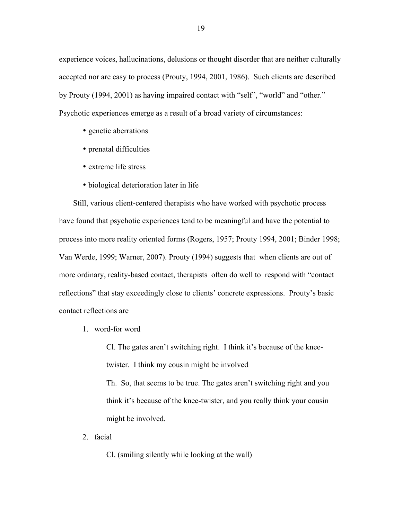experience voices, hallucinations, delusions or thought disorder that are neither culturally accepted nor are easy to process (Prouty, 1994, 2001, 1986). Such clients are described by Prouty (1994, 2001) as having impaired contact with "self", "world" and "other." Psychotic experiences emerge as a result of a broad variety of circumstances:

- genetic aberrations
- prenatal difficulties
- extreme life stress
- biological deterioration later in life

 Still, various client-centered therapists who have worked with psychotic process have found that psychotic experiences tend to be meaningful and have the potential to process into more reality oriented forms (Rogers, 1957; Prouty 1994, 2001; Binder 1998; Van Werde, 1999; Warner, 2007). Prouty (1994) suggests that when clients are out of more ordinary, reality-based contact, therapists often do well to respond with "contact reflections" that stay exceedingly close to clients' concrete expressions. Prouty's basic contact reflections are

1. word-for word

Cl. The gates aren't switching right. I think it's because of the kneetwister. I think my cousin might be involved Th. So, that seems to be true. The gates aren't switching right and you think it's because of the knee-twister, and you really think your cousin might be involved.

2. facial

Cl. (smiling silently while looking at the wall)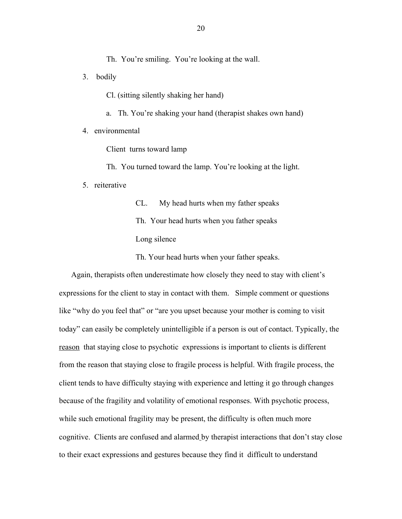Th. You're smiling. You're looking at the wall.

3. bodily

Cl. (sitting silently shaking her hand)

a. Th. You're shaking your hand (therapist shakes own hand)

4. environmental

Client turns toward lamp

Th. You turned toward the lamp. You're looking at the light.

5. reiterative

CL. My head hurts when my father speaks Th. Your head hurts when you father speaks Long silence

Th. Your head hurts when your father speaks.

Again, therapists often underestimate how closely they need to stay with client's expressions for the client to stay in contact with them. Simple comment or questions like "why do you feel that" or "are you upset because your mother is coming to visit today" can easily be completely unintelligible if a person is out of contact. Typically, the reason that staying close to psychotic expressions is important to clients is different from the reason that staying close to fragile process is helpful. With fragile process, the client tends to have difficulty staying with experience and letting it go through changes because of the fragility and volatility of emotional responses. With psychotic process, while such emotional fragility may be present, the difficulty is often much more cognitive. Clients are confused and alarmed by therapist interactions that don't stay close to their exact expressions and gestures because they find it difficult to understand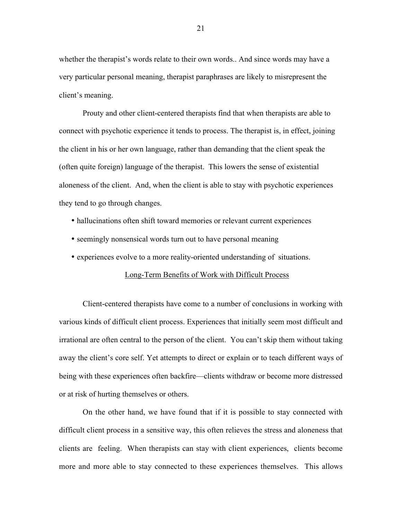whether the therapist's words relate to their own words.. And since words may have a very particular personal meaning, therapist paraphrases are likely to misrepresent the client's meaning.

Prouty and other client-centered therapists find that when therapists are able to connect with psychotic experience it tends to process. The therapist is, in effect, joining the client in his or her own language, rather than demanding that the client speak the (often quite foreign) language of the therapist. This lowers the sense of existential aloneness of the client. And, when the client is able to stay with psychotic experiences they tend to go through changes.

- hallucinations often shift toward memories or relevant current experiences
- seemingly nonsensical words turn out to have personal meaning
- experiences evolve to a more reality-oriented understanding of situations.

## Long-Term Benefits of Work with Difficult Process

Client-centered therapists have come to a number of conclusions in working with various kinds of difficult client process. Experiences that initially seem most difficult and irrational are often central to the person of the client. You can't skip them without taking away the client's core self. Yet attempts to direct or explain or to teach different ways of being with these experiences often backfire—clients withdraw or become more distressed or at risk of hurting themselves or others.

On the other hand, we have found that if it is possible to stay connected with difficult client process in a sensitive way, this often relieves the stress and aloneness that clients are feeling. When therapists can stay with client experiences, clients become more and more able to stay connected to these experiences themselves. This allows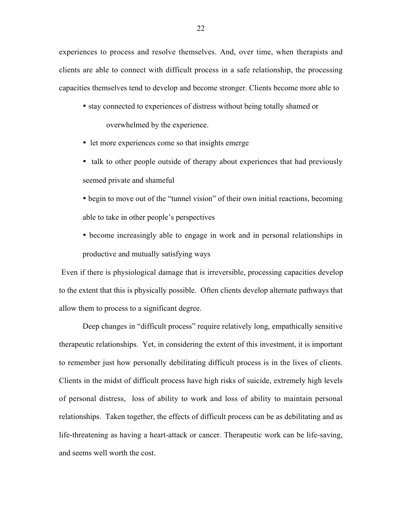experiences to process and resolve themselves. And, over time, when therapists and clients are able to connect with difficult process in a safe relationship, the processing capacities themselves tend to develop and become stronger. Clients become more able to

• stay connected to experiences of distress without being totally shamed or overwhelmed by the experience.

- let more experiences come so that insights emerge
- talk to other people outside of therapy about experiences that had previously seemed private and shameful

• begin to move out of the "tunnel vision" of their own initial reactions, becoming able to take in other people's perspectives

• become increasingly able to engage in work and in personal relationships in productive and mutually satisfying ways

Even if there is physiological damage that is irreversible, processing capacities develop to the extent that this is physically possible. Often clients develop alternate pathways that allow them to process to a significant degree.

Deep changes in "difficult process" require relatively long, empathically sensitive therapeutic relationships. Yet, in considering the extent of this investment, it is important to remember just how personally debilitating difficult process is in the lives of clients. Clients in the midst of difficult process have high risks of suicide, extremely high levels of personal distress, loss of ability to work and loss of ability to maintain personal relationships. Taken together, the effects of difficult process can be as debilitating and as life-threatening as having a heart-attack or cancer. Therapeutic work can be life-saving, and seems well worth the cost.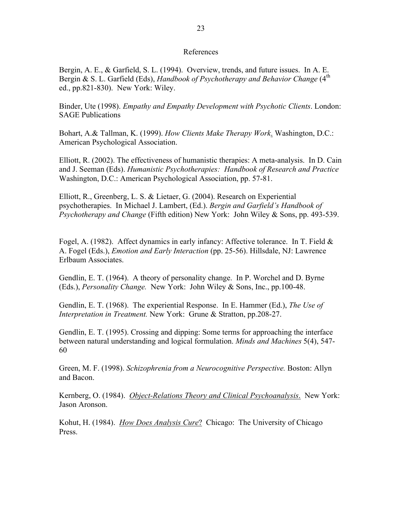## References

Bergin, A. E., & Garfield, S. L. (1994). Overview, trends, and future issues. In A. E. Bergin & S. L. Garfield (Eds), *Handbook of Psychotherapy and Behavior Change* (4<sup>th</sup> ed., pp.821-830). New York: Wiley.

Binder, Ute (1998). *Empathy and Empathy Development with Psychotic Clients*. London: SAGE Publications

Bohart, A.& Tallman, K. (1999). *How Clients Make Therapy Work*. Washington, D.C.: American Psychological Association.

Elliott, R. (2002). The effectiveness of humanistic therapies: A meta-analysis. In D. Cain and J. Seeman (Eds). *Humanistic Psychotherapies: Handbook of Research and Practice* Washington, D.C.: American Psychological Association, pp. 57-81.

Elliott, R., Greenberg, L. S. & Lietaer, G. (2004). Research on Experiential psychotherapies. In Michael J. Lambert, (Ed.). *Bergin and Garfield's Handbook of Psychotherapy and Change* (Fifth edition) New York: John Wiley & Sons, pp. 493-539.

Fogel, A. (1982). Affect dynamics in early infancy: Affective tolerance. In T. Field  $\&$ A. Fogel (Eds.), *Emotion and Early Interaction* (pp. 25-56). Hillsdale, NJ: Lawrence Erlbaum Associates.

Gendlin, E. T. (1964). A theory of personality change. In P. Worchel and D. Byrne (Eds.), *Personality Change.* New York: John Wiley & Sons, Inc., pp.100-48.

Gendlin, E. T. (1968). The experiential Response. In E. Hammer (Ed.), *The Use of Interpretation in Treatment.* New York: Grune & Stratton, pp.208-27.

Gendlin, E. T. (1995). Crossing and dipping: Some terms for approaching the interface between natural understanding and logical formulation. *Minds and Machines* 5(4), 547- 60

Green, M. F. (1998). *Schizophrenia from a Neurocognitive Perspective.* Boston: Allyn and Bacon.

Kernberg, O. (1984). *Object-Relations Theory and Clinical Psychoanalysis*. New York: Jason Aronson.

Kohut, H. (1984). *How Does Analysis Cure*? Chicago: The University of Chicago Press.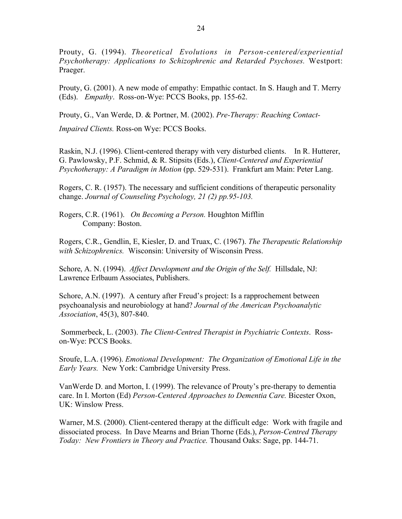Prouty, G. (1994). *Theoretical Evolutions in Person-centered/experiential Psychotherapy: Applications to Schizophrenic and Retarded Psychoses.* Westport: Praeger.

Prouty, G. (2001). A new mode of empathy: Empathic contact. In S. Haugh and T. Merry (Eds). *Empathy*. Ross-on-Wye: PCCS Books, pp. 155-62.

Prouty, G., Van Werde, D. & Portner, M. (2002). *Pre-Therapy: Reaching Contact-*

*Impaired Clients.* Ross-on Wye: PCCS Books.

Raskin, N.J. (1996). Client-centered therapy with very disturbed clients. In R. Hutterer, G. Pawlowsky, P.F. Schmid, & R. Stipsits (Eds.), *Client-Centered and Experiential Psychotherapy: A Paradigm in Motion* (pp. 529-531). Frankfurt am Main: Peter Lang.

Rogers, C. R. (1957). The necessary and sufficient conditions of therapeutic personality change. *Journal of Counseling Psychology, 21 (2) pp.95-103.*

Rogers, C.R. (1961). *On Becoming a Person.* Houghton Mifflin Company: Boston.

Rogers, C.R., Gendlin, E, Kiesler, D. and Truax, C. (1967). *The Therapeutic Relationship with Schizophrenics.* Wisconsin: University of Wisconsin Press.

Schore, A. N. (1994). *Affect Development and the Origin of the Self.* Hillsdale, NJ: Lawrence Erlbaum Associates, Publishers.

Schore, A.N. (1997). A century after Freud's project: Is a rapprochement between psychoanalysis and neurobiology at hand? *Journal of the American Psychoanalytic Association*, 45(3), 807-840.

 Sommerbeck, L. (2003). *The Client-Centred Therapist in Psychiatric Contexts*. Rosson-Wye: PCCS Books.

Sroufe, L.A. (1996). *Emotional Development: The Organization of Emotional Life in the Early Years.* New York: Cambridge University Press.

VanWerde D. and Morton, I. (1999). The relevance of Prouty's pre-therapy to dementia care. In I. Morton (Ed) *Person-Centered Approaches to Dementia Care.* Bicester Oxon, UK: Winslow Press.

Warner, M.S. (2000). Client-centered therapy at the difficult edge: Work with fragile and dissociated process. In Dave Mearns and Brian Thorne (Eds.), *Person-Centred Therapy Today: New Frontiers in Theory and Practice.* Thousand Oaks: Sage, pp. 144-71.